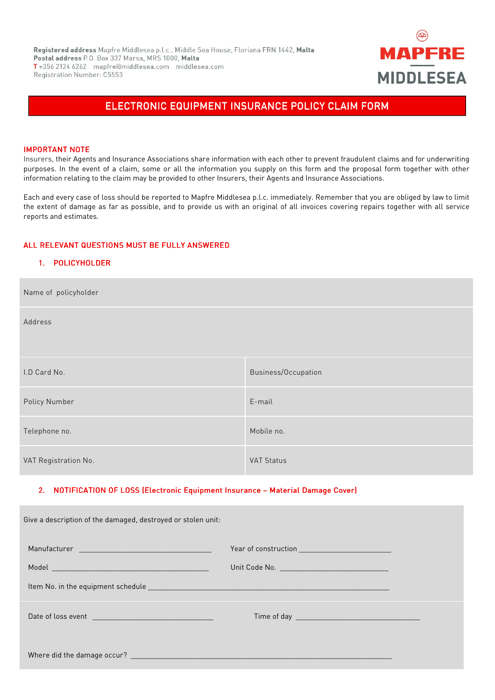

# ELECTRONIC EQUIPMENT INSURANCE POLICY CLAIM FORM

#### **IMPORTANT NOTE**

Insurers, their Agents and Insurance Associations share information with each other to prevent fraudulent claims and for underwriting purposes. In the event of a claim, some or all the information you supply on this form and the proposal form together with other information relating to the claim may be provided to other Insurers, their Agents and Insurance Associations.

Each and every case of loss should be reported to Mapfre Middlesea p.l.c. immediately. Remember that you are obliged by law to limit the extent of damage as far as possible, and to provide us with an original of all invoices covering repairs together with all service reports and estimates.

## ALL RELEVANT QUESTIONS MUST BE FULLY ANSWERED

## 1. POLICYHOLDER

| Name of policyholder |                     |
|----------------------|---------------------|
| Address              |                     |
|                      |                     |
| I.D Card No.         | Business/Occupation |
| Policy Number        | E-mail              |
| Telephone no.        | Mobile no.          |
| VAT Registration No. | <b>VAT Status</b>   |

### 2. NOTIFICATION OF LOSS (Electronic Equipment Insurance - Material Damage Cover)

| Give a description of the damaged, destroyed or stolen unit: |  |
|--------------------------------------------------------------|--|
|                                                              |  |
|                                                              |  |
|                                                              |  |
|                                                              |  |
|                                                              |  |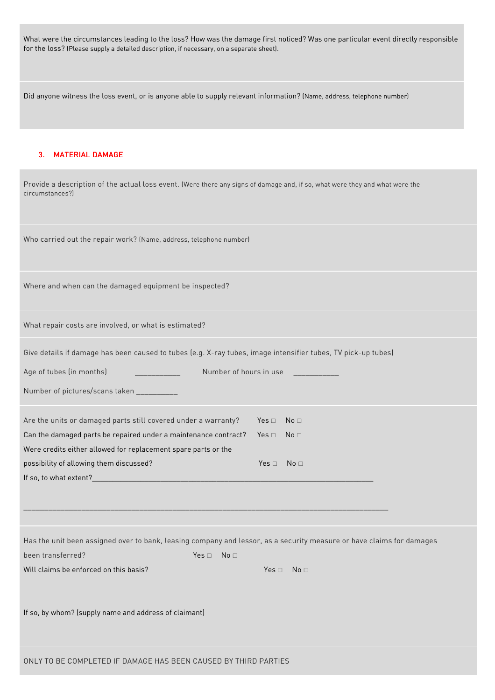What were the circumstances leading to the loss? How was the damage first noticed? Was one particular event directly responsible for the loss? (Please supply a detailed description, if necessary, on a separate sheet).

Did anyone witness the loss event, or is anyone able to supply relevant information? (Name, address, telephone number)

## 3. MATERIAL DAMAGE

| Provide a description of the actual loss event. (Were there any signs of damage and, if so, what were they and what were the<br>circumstances?) |
|-------------------------------------------------------------------------------------------------------------------------------------------------|
| Who carried out the repair work? (Name, address, telephone number)                                                                              |
| Where and when can the damaged equipment be inspected?                                                                                          |
| What repair costs are involved, or what is estimated?                                                                                           |
| Give details if damage has been caused to tubes (e.g. X-ray tubes, image intensifier tubes, TV pick-up tubes)                                   |
| Age of tubes (in months)<br>Number of hours in use<br><u> 1989 - John Barnett, fransk politiker</u>                                             |
| Number of pictures/scans taken __________                                                                                                       |
| Are the units or damaged parts still covered under a warranty?<br>No <sub>1</sub><br>Yes $\square$                                              |
| Can the damaged parts be repaired under a maintenance contract?<br>Yes $\Box$<br>No <sub>1</sub>                                                |
| Were credits either allowed for replacement spare parts or the                                                                                  |
| possibility of allowing them discussed?<br>$Yes \Box No \Box$                                                                                   |
|                                                                                                                                                 |
|                                                                                                                                                 |
|                                                                                                                                                 |
| Has the unit been assigned over to bank, leasing company and lessor, as a security measure or have claims for damages                           |
| been transferred?<br>$Yes \Box No \Box$                                                                                                         |
| Will claims be enforced on this basis?<br>Yes $\square$<br>No <sub>1</sub>                                                                      |
| If so, by whom? (supply name and address of claimant)                                                                                           |
| ONLY TO BE COMPLETED IF DAMAGE HAS BEEN CAUSED BY THIRD PARTIES                                                                                 |